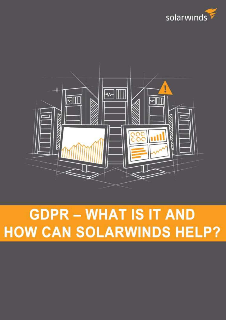



# **GDPR - WHAT IS IT AND HOW CAN SOLARWINDS HELP?**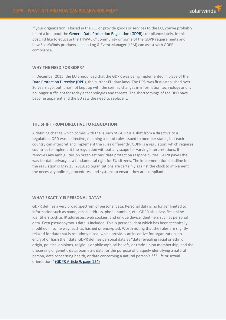If your organization is based in the EU, or provide goods or services to the EU, you've probably heard a lot about the [General Data Protection Regulation \(GDPR\)](http://eur-lex.europa.eu/LexUriServ/LexUriServ.do?uri=CELEX:31995L0046:en:HTML) compliance lately. In this post, I'd like to educate the THWACK® community on some of the GDPR requirements and how SolarWinds products such as Log & Event Manager (LEM) can assist with GDPR compliance.

#### **WHY THE NEED FOR GDPR?**

In December 2015, the EU announced that the GDPR was being implemented in place of the [Data Protection Directive \(DPD\),](http://eur-lex.europa.eu/LexUriServ/LexUriServ.do?uri=CELEX:31995L0046:en:HTML) the current EU data laws. The DPD was first established over 20 years ago, but it has not kept up with the seismic changes in information technology and is no longer sufficient for today's technologies and threats. The shortcomings of the DPD have become apparent and the EU saw the need to replace it.

# **THE SHIFT FROM DIRECTIVE TO REGULATION**

A defining change which comes with the launch of GDPR is a shift from a directive to a regulation. DPD was a directive, meaning a set of rules issued to member states, but each country can interpret and implement the rules differently. GDPR is a regulation, which requires countries to implement the regulation without any scope for varying interpretations. It removes any ambiguities on organizations' data protection responsibilities. GDPR paves the way for data privacy as a fundamental right for EU citizens. The implementation deadline for the regulation is May 25, 2018, so organizations are certainly against the clock to implement the necessary policies, procedures, and systems to ensure they are compliant.

# **WHAT EXACTLY IS PERSONAL DATA?**

GDPR defines a very broad spectrum of personal data. Personal data is no longer limited to information such as name, email, address, phone number, etc. GDPR also classifies online identifiers such as IP addresses, web cookies, and unique device identifiers such as personal data. Even pseudonymous data is included. This is personal data which has been technically modified in some way, such as hashed or encrypted. Worth noting that the rules are slightly relaxed for data that is pseudonymized, which provides an incentive for organizations to encrypt or hash their data. GDPR defines personal data as "data revealing racial or ethnic origin, political opinions, religious or philosophical beliefs, or trade-union membership, and the processing of genetic data, biometric data for the purpose of uniquely identifying a natural person, data concerning health, or data concerning a natural person's \*\*\* life or sexual orientation." [\(GDPR Article 9, page 124\)](http://data.consilium.europa.eu/doc/document/ST-5419-2016-INIT/en/pdf)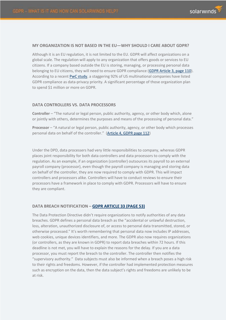#### **MY ORGANIZATION IS NOT BASED IN THE EU—WHY SHOULD I CARE ABOUT GDPR?**

Although it is an EU regulation, it is not limited to the EU. GDPR will affect organizations on a global scale. The regulation will apply to any organization that offers goods or services to EU citizens. If a company based outside the EU is storing, managing, or processing personal data belonging to EU citizens, they will need to ensure GDPR compliance [\(GDPR Article 3, page 110\)](http://data.consilium.europa.eu/doc/document/ST-5419-2016-INIT/en/pdf). According to a recent [PwC study,](https://www.pwc.com/us/en/increasing-it-effectiveness/publications/assets/pwc-gdpr-series-pulse-survey.pdf) a staggering 92% of US multinational companies have listed GDPR compliance as data-privacy priority. A significant percentage of those organization plan to spend \$1 million or more on GDPR.

# **DATA CONTROLLERS VS. DATA PROCESSORS**

**Controller** – "The natural or legal person, public authority, agency, or other body which, alone or jointly with others, determines the purposes and means of the processing of personal data."

**Processor** – "A natural or legal person, public authority, agency, or other body which processes personal data on behalf of the controller." ([Article 4, GDPR page 112\)](http://data.consilium.europa.eu/doc/document/ST-5419-2016-INIT/en/pdf)

Under the DPD, data processers had very little responsibilities to company, whereas GDPR places joint responsibility for both data controllers and data processors to comply with the regulation. As an example, if an organization (controller) outsources its payroll to an external payroll company (processor), even though the payroll company is managing and storing data on behalf of the controller, they are now required to comply with GDPR. This will impact controllers and processors alike. Controllers will have to conduct reviews to ensure their processors have a framework in place to comply with GDPR. Processors will have to ensure they are compliant.

# **DATA BREACH NOTIFICATION – [GDPR ARTICLE 33 \(PAGE 53\)](http://data.consilium.europa.eu/doc/document/ST-5419-2016-INIT/en/pdf)**

The Data Protection Directive didn't require organizations to notify authorities of any data breaches. GDPR defines a personal data breach as the "accidental or unlawful destruction, loss, alteration, unauthorized disclosure of, or access to personal data transmitted, stored, or otherwise processed." It's worth remembering that personal data now includes IP addresses, web cookies, unique devices identifiers, and more. The GDPR also now requires organizations (or controllers, as they are known in GDPR) to report data breaches within 72 hours. If this deadline is not met, you will have to explain the reasons for the delay. If you are a data processor, you must report the breach to the controller. The controller then notifies the "supervisory authority." Data subjects must also be informed when a breach poses a high risk to their rights and freedoms. However, if the controller had implemented protection measures such as encryption on the data, then the data subject's rights and freedoms are unlikely to be at risk.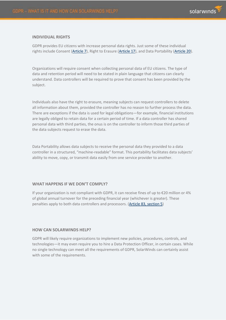

#### **INDIVIDUAL RIGHTS**

GDPR provides EU citizens with increase personal data rights. Just some of these individual rights include Consent [\(Article 7\)](http://data.consilium.europa.eu/doc/document/ST-5419-2016-INIT/en/pdf), Right to Erasure [\(Article 17\)](http://data.consilium.europa.eu/doc/document/ST-5419-2016-INIT/en/pdf), and Data Portability [\(Article 20\)](http://data.consilium.europa.eu/doc/document/ST-5419-2016-INIT/en/pdf).

Organizations will require consent when collecting personal data of EU citizens. The type of data and retention period will need to be stated in plain language that citizens can clearly understand. Data controllers will be required to prove that consent has been provided by the subject.

Individuals also have the right to erasure, meaning subjects can request controllers to delete all information about them, provided the controller has no reason to further process the data. There are exceptions if the data is used for legal obligations—for example, financial institutions are legally obliged to retain data for a certain period of time. If a data controller has shared personal data with third parties, the onus is on the controller to inform those third parties of the data subjects request to erase the data.

Data Portability allows data subjects to receive the personal data they provided to a data controller in a structured, "machine-readable" format. This portability facilitates data subjects' ability to move, copy, or transmit data easily from one service provider to another.

# **WHAT HAPPENS IF WE DON'T COMPLY?**

If your organization is not compliant with GDPR, it can receive fines of up to €20 million or 4% of global annual turnover for the preceding financial year (whichever is greater). These penalties apply to both data controllers and processors. [\(Article 83, section 5\)](http://data.consilium.europa.eu/doc/document/ST-5419-2016-INIT/en/pdf)

#### **HOW CAN SOLARWINDS HELP?**

GDPR will likely require organizations to implement new policies, procedures, controls, and technologies—it may even require you to hire a Data Protection Officer, in certain cases. While no single technology can meet all the requirements of GDPR, SolarWinds can certainly assist with some of the requirements.